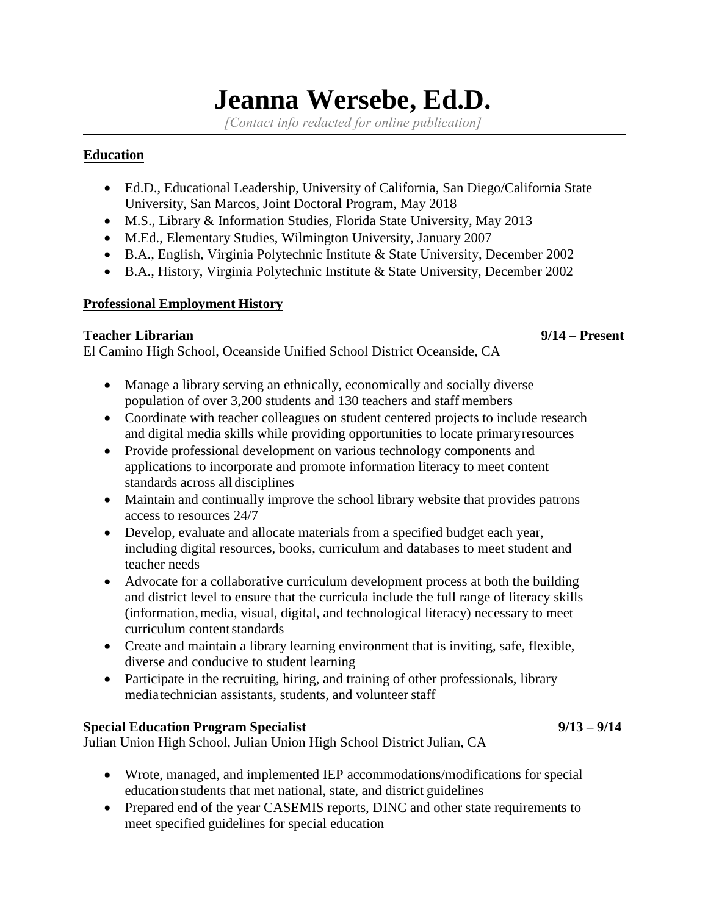# **Jeanna Wersebe, Ed.D.**

*[Contact info redacted for online publication]*

### **Education**

- Ed.D., Educational Leadership, University of California, San Diego/California State University, San Marcos, Joint Doctoral Program, May 2018
- M.S., Library & Information Studies, Florida State University, May 2013
- M.Ed., Elementary Studies, Wilmington University, January 2007
- B.A., English, Virginia Polytechnic Institute & State University, December 2002
- B.A., History, Virginia Polytechnic Institute & State University, December 2002

# **Professional Employment History**

### **Teacher Librarian 9/14 – Present**

El Camino High School, Oceanside Unified School District Oceanside, CA

- Manage a library serving an ethnically, economically and socially diverse population of over 3,200 students and 130 teachers and staff members
- Coordinate with teacher colleagues on student centered projects to include research and digital media skills while providing opportunities to locate primaryresources
- Provide professional development on various technology components and applications to incorporate and promote information literacy to meet content standards across all disciplines
- Maintain and continually improve the school library website that provides patrons access to resources 24/7
- Develop, evaluate and allocate materials from a specified budget each year, including digital resources, books, curriculum and databases to meet student and teacher needs
- Advocate for a collaborative curriculum development process at both the building and district level to ensure that the curricula include the full range of literacy skills (information,media, visual, digital, and technological literacy) necessary to meet curriculum content standards
- Create and maintain a library learning environment that is inviting, safe, flexible, diverse and conducive to student learning
- Participate in the recruiting, hiring, and training of other professionals, library mediatechnician assistants, students, and volunteer staff

# **Special Education Program Specialist 9/13 – 9/14**

Julian Union High School, Julian Union High School District Julian, CA

- Wrote, managed, and implemented IEP accommodations/modifications for special education students that met national, state, and district guidelines
- Prepared end of the year CASEMIS reports, DINC and other state requirements to meet specified guidelines for special education